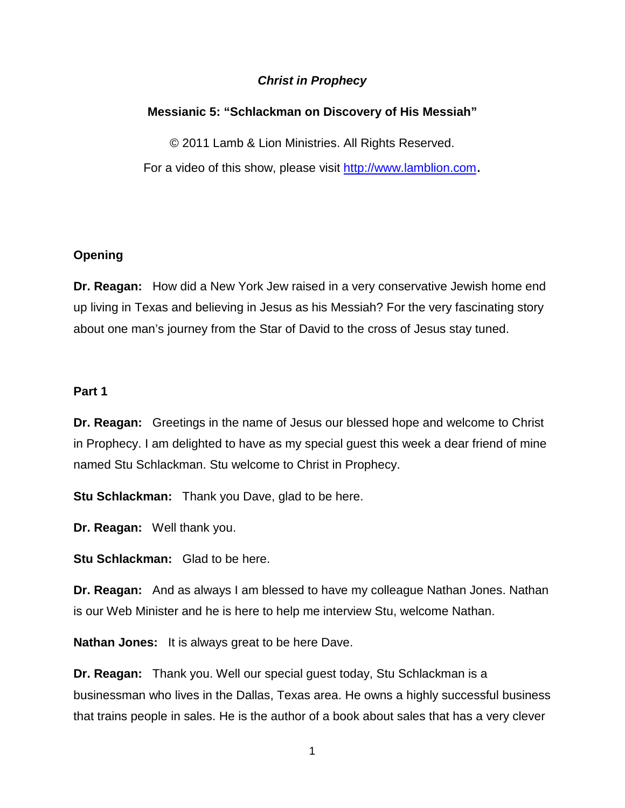# *Christ in Prophecy*

# **Messianic 5: "Schlackman on Discovery of His Messiah"**

© 2011 Lamb & Lion Ministries. All Rights Reserved. For a video of this show, please visit [http://www.lamblion.com.](http://www.lamblion.com/)

## **Opening**

**Dr. Reagan:** How did a New York Jew raised in a very conservative Jewish home end up living in Texas and believing in Jesus as his Messiah? For the very fascinating story about one man's journey from the Star of David to the cross of Jesus stay tuned.

## **Part 1**

**Dr. Reagan:** Greetings in the name of Jesus our blessed hope and welcome to Christ in Prophecy. I am delighted to have as my special guest this week a dear friend of mine named Stu Schlackman. Stu welcome to Christ in Prophecy.

**Stu Schlackman:** Thank you Dave, glad to be here.

**Dr. Reagan:** Well thank you.

**Stu Schlackman:** Glad to be here.

**Dr. Reagan:** And as always I am blessed to have my colleague Nathan Jones. Nathan is our Web Minister and he is here to help me interview Stu, welcome Nathan.

**Nathan Jones:** It is always great to be here Dave.

**Dr. Reagan:** Thank you. Well our special guest today, Stu Schlackman is a businessman who lives in the Dallas, Texas area. He owns a highly successful business that trains people in sales. He is the author of a book about sales that has a very clever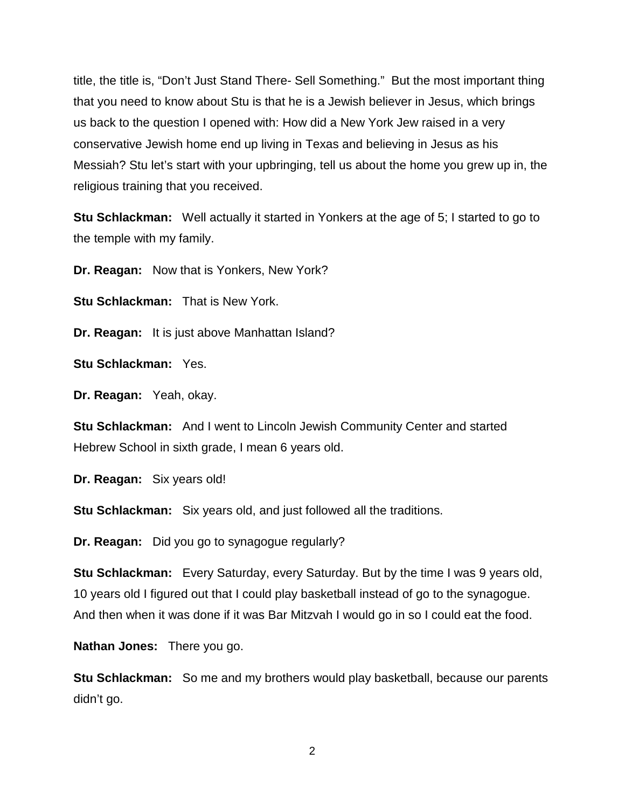title, the title is, "Don't Just Stand There- Sell Something." But the most important thing that you need to know about Stu is that he is a Jewish believer in Jesus, which brings us back to the question I opened with: How did a New York Jew raised in a very conservative Jewish home end up living in Texas and believing in Jesus as his Messiah? Stu let's start with your upbringing, tell us about the home you grew up in, the religious training that you received.

**Stu Schlackman:** Well actually it started in Yonkers at the age of 5; I started to go to the temple with my family.

**Dr. Reagan:** Now that is Yonkers, New York?

**Stu Schlackman:** That is New York.

**Dr. Reagan:** It is just above Manhattan Island?

**Stu Schlackman:** Yes.

**Dr. Reagan:** Yeah, okay.

**Stu Schlackman:** And I went to Lincoln Jewish Community Center and started Hebrew School in sixth grade, I mean 6 years old.

**Dr. Reagan:** Six years old!

**Stu Schlackman:** Six years old, and just followed all the traditions.

**Dr. Reagan:** Did you go to synagogue regularly?

**Stu Schlackman:** Every Saturday, every Saturday. But by the time I was 9 years old, 10 years old I figured out that I could play basketball instead of go to the synagogue. And then when it was done if it was Bar Mitzvah I would go in so I could eat the food.

**Nathan Jones:** There you go.

**Stu Schlackman:** So me and my brothers would play basketball, because our parents didn't go.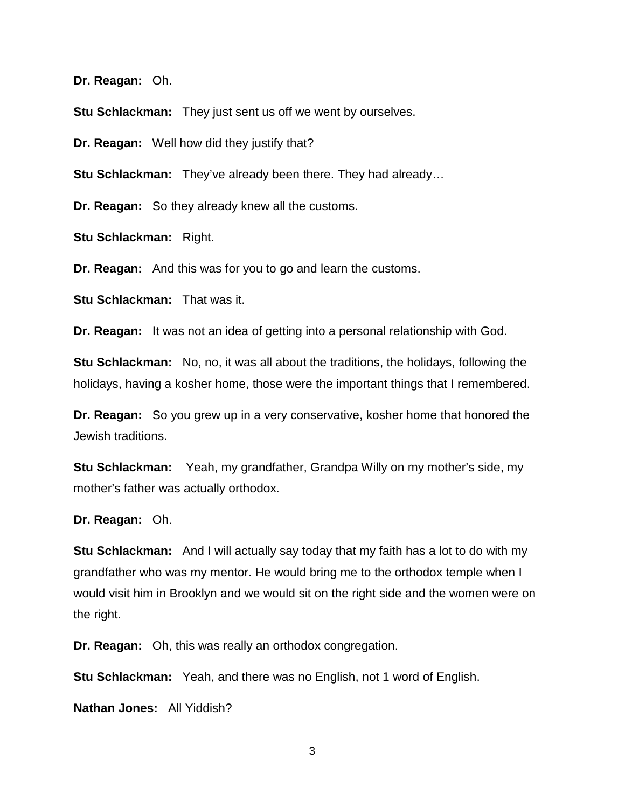**Dr. Reagan:** Oh.

**Stu Schlackman:** They just sent us off we went by ourselves.

**Dr. Reagan:** Well how did they justify that?

**Stu Schlackman:** They've already been there. They had already…

**Dr. Reagan:** So they already knew all the customs.

**Stu Schlackman:** Right.

**Dr. Reagan:** And this was for you to go and learn the customs.

**Stu Schlackman:** That was it.

**Dr. Reagan:** It was not an idea of getting into a personal relationship with God.

**Stu Schlackman:** No, no, it was all about the traditions, the holidays, following the holidays, having a kosher home, those were the important things that I remembered.

**Dr. Reagan:** So you grew up in a very conservative, kosher home that honored the Jewish traditions.

**Stu Schlackman:** Yeah, my grandfather, Grandpa Willy on my mother's side, my mother's father was actually orthodox.

**Dr. Reagan:** Oh.

**Stu Schlackman:** And I will actually say today that my faith has a lot to do with my grandfather who was my mentor. He would bring me to the orthodox temple when I would visit him in Brooklyn and we would sit on the right side and the women were on the right.

**Dr. Reagan:** Oh, this was really an orthodox congregation.

**Stu Schlackman:** Yeah, and there was no English, not 1 word of English.

**Nathan Jones:** All Yiddish?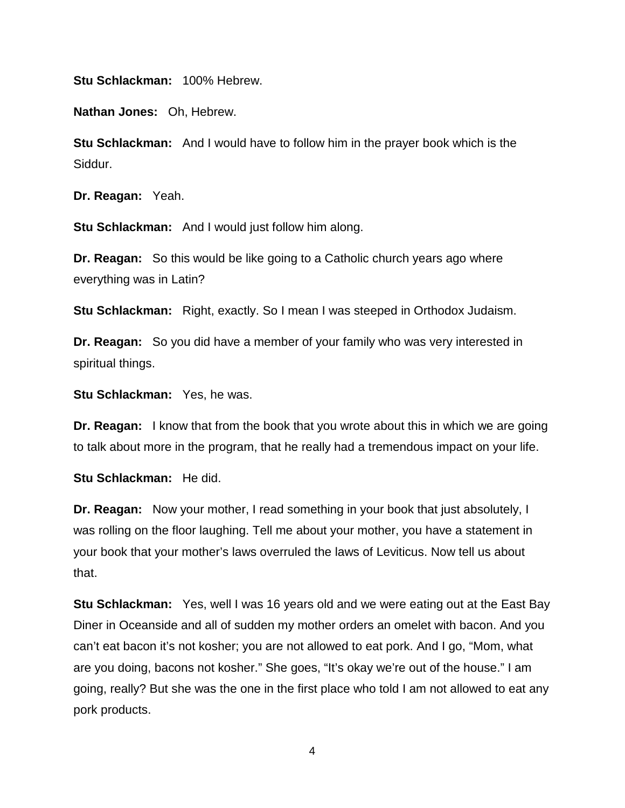**Stu Schlackman:** 100% Hebrew.

**Nathan Jones:** Oh, Hebrew.

**Stu Schlackman:** And I would have to follow him in the prayer book which is the Siddur.

**Dr. Reagan:** Yeah.

**Stu Schlackman:** And I would just follow him along.

**Dr. Reagan:** So this would be like going to a Catholic church years ago where everything was in Latin?

**Stu Schlackman:** Right, exactly. So I mean I was steeped in Orthodox Judaism.

**Dr. Reagan:** So you did have a member of your family who was very interested in spiritual things.

**Stu Schlackman:** Yes, he was.

**Dr. Reagan:** I know that from the book that you wrote about this in which we are going to talk about more in the program, that he really had a tremendous impact on your life.

**Stu Schlackman:** He did.

**Dr. Reagan:** Now your mother, I read something in your book that just absolutely, I was rolling on the floor laughing. Tell me about your mother, you have a statement in your book that your mother's laws overruled the laws of Leviticus. Now tell us about that.

**Stu Schlackman:** Yes, well I was 16 years old and we were eating out at the East Bay Diner in Oceanside and all of sudden my mother orders an omelet with bacon. And you can't eat bacon it's not kosher; you are not allowed to eat pork. And I go, "Mom, what are you doing, bacons not kosher." She goes, "It's okay we're out of the house." I am going, really? But she was the one in the first place who told I am not allowed to eat any pork products.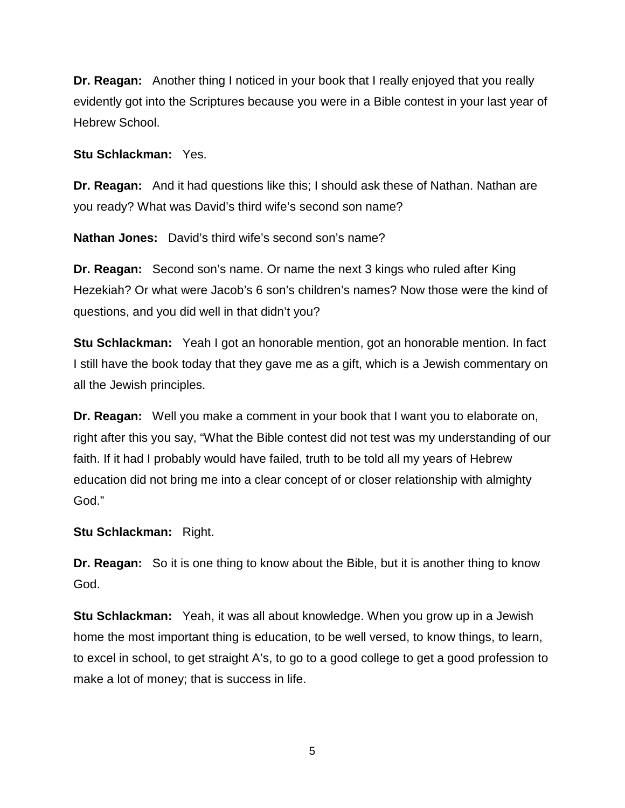**Dr. Reagan:** Another thing I noticed in your book that I really enjoyed that you really evidently got into the Scriptures because you were in a Bible contest in your last year of Hebrew School.

**Stu Schlackman:** Yes.

**Dr. Reagan:** And it had questions like this; I should ask these of Nathan. Nathan are you ready? What was David's third wife's second son name?

**Nathan Jones:** David's third wife's second son's name?

**Dr. Reagan:** Second son's name. Or name the next 3 kings who ruled after King Hezekiah? Or what were Jacob's 6 son's children's names? Now those were the kind of questions, and you did well in that didn't you?

**Stu Schlackman:** Yeah I got an honorable mention, got an honorable mention. In fact I still have the book today that they gave me as a gift, which is a Jewish commentary on all the Jewish principles.

**Dr. Reagan:** Well you make a comment in your book that I want you to elaborate on, right after this you say, "What the Bible contest did not test was my understanding of our faith. If it had I probably would have failed, truth to be told all my years of Hebrew education did not bring me into a clear concept of or closer relationship with almighty God."

**Stu Schlackman:** Right.

**Dr. Reagan:** So it is one thing to know about the Bible, but it is another thing to know God.

**Stu Schlackman:** Yeah, it was all about knowledge. When you grow up in a Jewish home the most important thing is education, to be well versed, to know things, to learn, to excel in school, to get straight A's, to go to a good college to get a good profession to make a lot of money; that is success in life.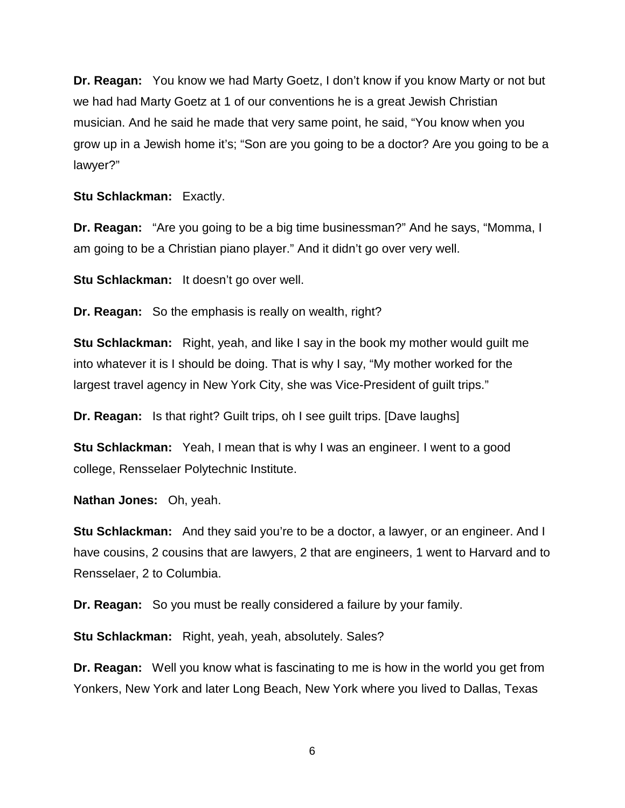**Dr. Reagan:** You know we had Marty Goetz, I don't know if you know Marty or not but we had had Marty Goetz at 1 of our conventions he is a great Jewish Christian musician. And he said he made that very same point, he said, "You know when you grow up in a Jewish home it's; "Son are you going to be a doctor? Are you going to be a lawyer?"

**Stu Schlackman:** Exactly.

**Dr. Reagan:** "Are you going to be a big time businessman?" And he says, "Momma, I am going to be a Christian piano player." And it didn't go over very well.

**Stu Schlackman:** It doesn't go over well.

**Dr. Reagan:** So the emphasis is really on wealth, right?

**Stu Schlackman:** Right, yeah, and like I say in the book my mother would guilt me into whatever it is I should be doing. That is why I say, "My mother worked for the largest travel agency in New York City, she was Vice-President of guilt trips."

**Dr. Reagan:** Is that right? Guilt trips, oh I see guilt trips. [Dave laughs]

**Stu Schlackman:** Yeah, I mean that is why I was an engineer. I went to a good college, Rensselaer Polytechnic Institute.

**Nathan Jones:** Oh, yeah.

**Stu Schlackman:** And they said you're to be a doctor, a lawyer, or an engineer. And I have cousins, 2 cousins that are lawyers, 2 that are engineers, 1 went to Harvard and to Rensselaer, 2 to Columbia.

**Dr. Reagan:** So you must be really considered a failure by your family.

**Stu Schlackman:** Right, yeah, yeah, absolutely. Sales?

**Dr. Reagan:** Well you know what is fascinating to me is how in the world you get from Yonkers, New York and later Long Beach, New York where you lived to Dallas, Texas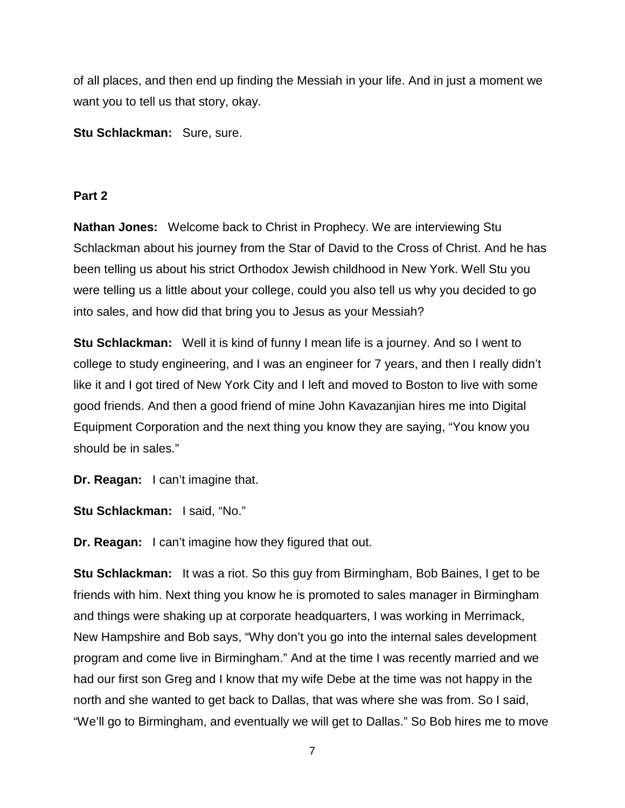of all places, and then end up finding the Messiah in your life. And in just a moment we want you to tell us that story, okay.

**Stu Schlackman:** Sure, sure.

### **Part 2**

**Nathan Jones:** Welcome back to Christ in Prophecy. We are interviewing Stu Schlackman about his journey from the Star of David to the Cross of Christ. And he has been telling us about his strict Orthodox Jewish childhood in New York. Well Stu you were telling us a little about your college, could you also tell us why you decided to go into sales, and how did that bring you to Jesus as your Messiah?

**Stu Schlackman:** Well it is kind of funny I mean life is a journey. And so I went to college to study engineering, and I was an engineer for 7 years, and then I really didn't like it and I got tired of New York City and I left and moved to Boston to live with some good friends. And then a good friend of mine John Kavazanjian hires me into Digital Equipment Corporation and the next thing you know they are saying, "You know you should be in sales."

**Dr. Reagan:** I can't imagine that.

**Stu Schlackman:** I said, "No."

**Dr. Reagan:** I can't imagine how they figured that out.

**Stu Schlackman:** It was a riot. So this guy from Birmingham, Bob Baines, I get to be friends with him. Next thing you know he is promoted to sales manager in Birmingham and things were shaking up at corporate headquarters, I was working in Merrimack, New Hampshire and Bob says, "Why don't you go into the internal sales development program and come live in Birmingham." And at the time I was recently married and we had our first son Greg and I know that my wife Debe at the time was not happy in the north and she wanted to get back to Dallas, that was where she was from. So I said, "We'll go to Birmingham, and eventually we will get to Dallas." So Bob hires me to move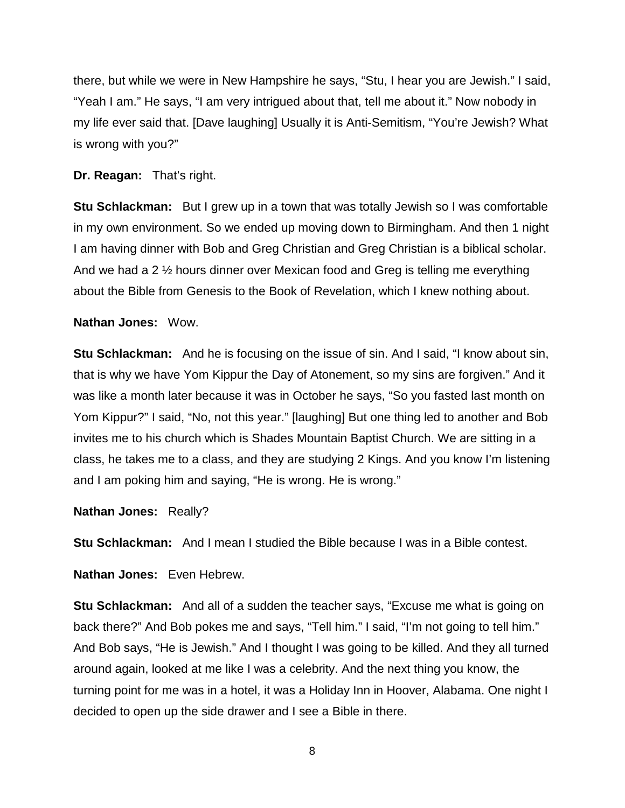there, but while we were in New Hampshire he says, "Stu, I hear you are Jewish." I said, "Yeah I am." He says, "I am very intrigued about that, tell me about it." Now nobody in my life ever said that. [Dave laughing] Usually it is Anti-Semitism, "You're Jewish? What is wrong with you?"

### **Dr. Reagan:** That's right.

**Stu Schlackman:** But I grew up in a town that was totally Jewish so I was comfortable in my own environment. So we ended up moving down to Birmingham. And then 1 night I am having dinner with Bob and Greg Christian and Greg Christian is a biblical scholar. And we had a 2 ½ hours dinner over Mexican food and Greg is telling me everything about the Bible from Genesis to the Book of Revelation, which I knew nothing about.

### **Nathan Jones:** Wow.

**Stu Schlackman:** And he is focusing on the issue of sin. And I said, "I know about sin, that is why we have Yom Kippur the Day of Atonement, so my sins are forgiven." And it was like a month later because it was in October he says, "So you fasted last month on Yom Kippur?" I said, "No, not this year." [laughing] But one thing led to another and Bob invites me to his church which is Shades Mountain Baptist Church. We are sitting in a class, he takes me to a class, and they are studying 2 Kings. And you know I'm listening and I am poking him and saying, "He is wrong. He is wrong."

**Nathan Jones:** Really?

**Stu Schlackman:** And I mean I studied the Bible because I was in a Bible contest.

**Nathan Jones:** Even Hebrew.

**Stu Schlackman:** And all of a sudden the teacher says, "Excuse me what is going on back there?" And Bob pokes me and says, "Tell him." I said, "I'm not going to tell him." And Bob says, "He is Jewish." And I thought I was going to be killed. And they all turned around again, looked at me like I was a celebrity. And the next thing you know, the turning point for me was in a hotel, it was a Holiday Inn in Hoover, Alabama. One night I decided to open up the side drawer and I see a Bible in there.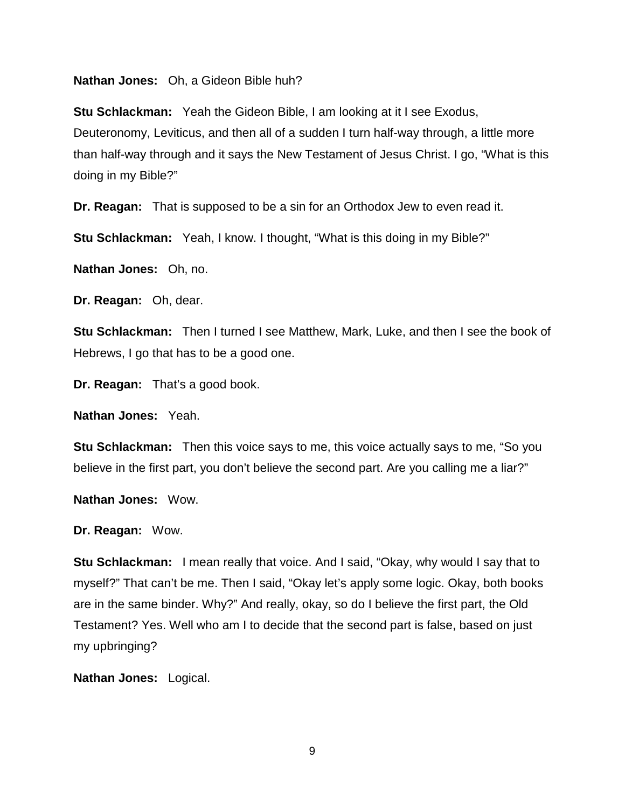#### **Nathan Jones:** Oh, a Gideon Bible huh?

**Stu Schlackman:** Yeah the Gideon Bible, I am looking at it I see Exodus, Deuteronomy, Leviticus, and then all of a sudden I turn half-way through, a little more than half-way through and it says the New Testament of Jesus Christ. I go, "What is this doing in my Bible?"

**Dr. Reagan:** That is supposed to be a sin for an Orthodox Jew to even read it.

**Stu Schlackman:** Yeah, I know. I thought, "What is this doing in my Bible?"

**Nathan Jones:** Oh, no.

**Dr. Reagan:** Oh, dear.

**Stu Schlackman:** Then I turned I see Matthew, Mark, Luke, and then I see the book of Hebrews, I go that has to be a good one.

**Dr. Reagan:** That's a good book.

**Nathan Jones:** Yeah.

**Stu Schlackman:** Then this voice says to me, this voice actually says to me, "So you believe in the first part, you don't believe the second part. Are you calling me a liar?"

**Nathan Jones:** Wow.

**Dr. Reagan:** Wow.

**Stu Schlackman:** I mean really that voice. And I said, "Okay, why would I say that to myself?" That can't be me. Then I said, "Okay let's apply some logic. Okay, both books are in the same binder. Why?" And really, okay, so do I believe the first part, the Old Testament? Yes. Well who am I to decide that the second part is false, based on just my upbringing?

**Nathan Jones:** Logical.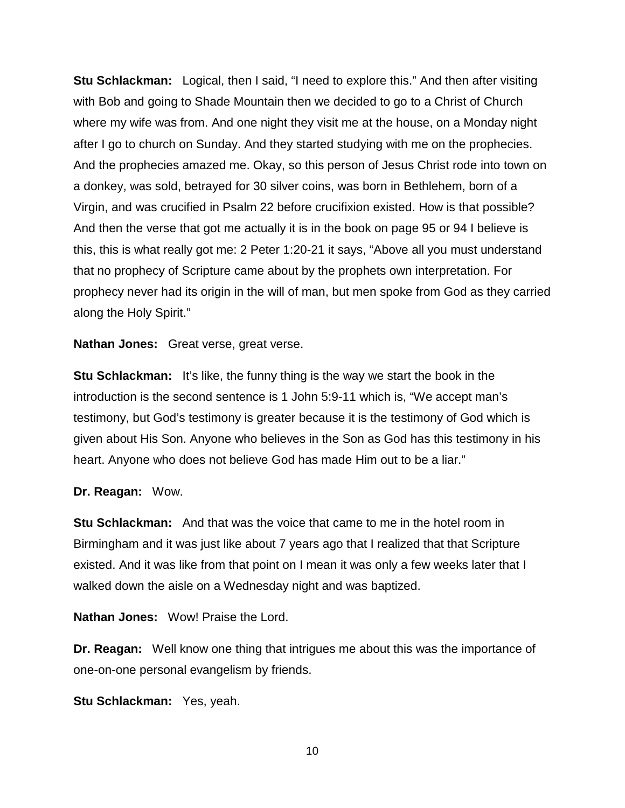**Stu Schlackman:** Logical, then I said, "I need to explore this." And then after visiting with Bob and going to Shade Mountain then we decided to go to a Christ of Church where my wife was from. And one night they visit me at the house, on a Monday night after I go to church on Sunday. And they started studying with me on the prophecies. And the prophecies amazed me. Okay, so this person of Jesus Christ rode into town on a donkey, was sold, betrayed for 30 silver coins, was born in Bethlehem, born of a Virgin, and was crucified in Psalm 22 before crucifixion existed. How is that possible? And then the verse that got me actually it is in the book on page 95 or 94 I believe is this, this is what really got me: 2 Peter 1:20-21 it says, "Above all you must understand that no prophecy of Scripture came about by the prophets own interpretation. For prophecy never had its origin in the will of man, but men spoke from God as they carried along the Holy Spirit."

**Nathan Jones:** Great verse, great verse.

**Stu Schlackman:** It's like, the funny thing is the way we start the book in the introduction is the second sentence is 1 John 5:9-11 which is, "We accept man's testimony, but God's testimony is greater because it is the testimony of God which is given about His Son. Anyone who believes in the Son as God has this testimony in his heart. Anyone who does not believe God has made Him out to be a liar."

## **Dr. Reagan:** Wow.

**Stu Schlackman:** And that was the voice that came to me in the hotel room in Birmingham and it was just like about 7 years ago that I realized that that Scripture existed. And it was like from that point on I mean it was only a few weeks later that I walked down the aisle on a Wednesday night and was baptized.

**Nathan Jones:** Wow! Praise the Lord.

**Dr. Reagan:** Well know one thing that intrigues me about this was the importance of one-on-one personal evangelism by friends.

**Stu Schlackman:** Yes, yeah.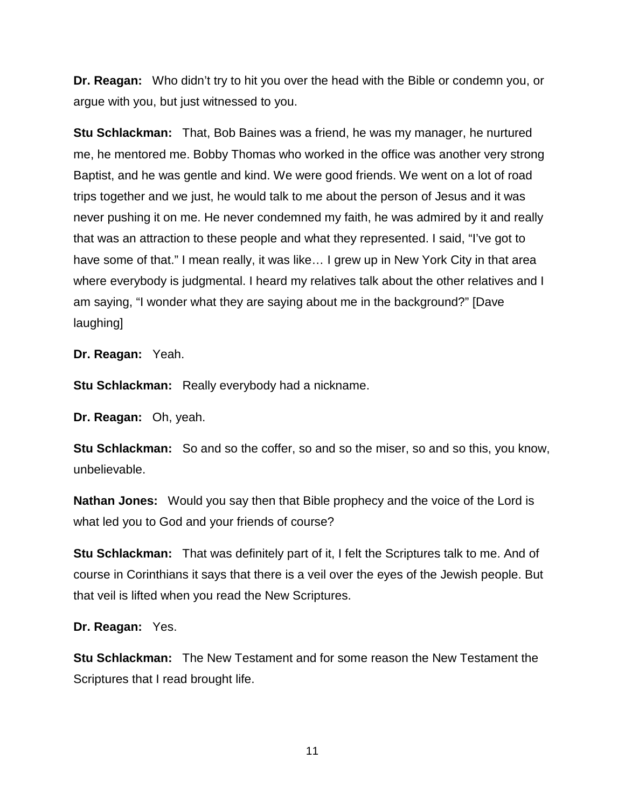**Dr. Reagan:** Who didn't try to hit you over the head with the Bible or condemn you, or argue with you, but just witnessed to you.

**Stu Schlackman:** That, Bob Baines was a friend, he was my manager, he nurtured me, he mentored me. Bobby Thomas who worked in the office was another very strong Baptist, and he was gentle and kind. We were good friends. We went on a lot of road trips together and we just, he would talk to me about the person of Jesus and it was never pushing it on me. He never condemned my faith, he was admired by it and really that was an attraction to these people and what they represented. I said, "I've got to have some of that." I mean really, it was like… I grew up in New York City in that area where everybody is judgmental. I heard my relatives talk about the other relatives and I am saying, "I wonder what they are saying about me in the background?" [Dave laughing]

**Dr. Reagan:** Yeah.

**Stu Schlackman:** Really everybody had a nickname.

**Dr. Reagan:** Oh, yeah.

**Stu Schlackman:** So and so the coffer, so and so the miser, so and so this, you know, unbelievable.

**Nathan Jones:** Would you say then that Bible prophecy and the voice of the Lord is what led you to God and your friends of course?

**Stu Schlackman:** That was definitely part of it, I felt the Scriptures talk to me. And of course in Corinthians it says that there is a veil over the eyes of the Jewish people. But that veil is lifted when you read the New Scriptures.

**Dr. Reagan:** Yes.

**Stu Schlackman:** The New Testament and for some reason the New Testament the Scriptures that I read brought life.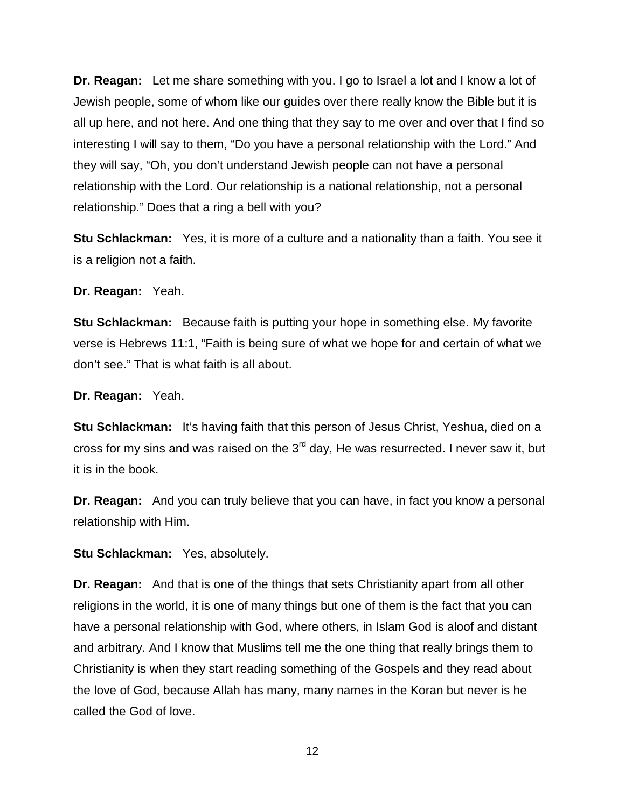**Dr. Reagan:** Let me share something with you. I go to Israel a lot and I know a lot of Jewish people, some of whom like our guides over there really know the Bible but it is all up here, and not here. And one thing that they say to me over and over that I find so interesting I will say to them, "Do you have a personal relationship with the Lord." And they will say, "Oh, you don't understand Jewish people can not have a personal relationship with the Lord. Our relationship is a national relationship, not a personal relationship." Does that a ring a bell with you?

**Stu Schlackman:** Yes, it is more of a culture and a nationality than a faith. You see it is a religion not a faith.

**Dr. Reagan:** Yeah.

**Stu Schlackman:** Because faith is putting your hope in something else. My favorite verse is Hebrews 11:1, "Faith is being sure of what we hope for and certain of what we don't see." That is what faith is all about.

**Dr. Reagan:** Yeah.

**Stu Schlackman:** It's having faith that this person of Jesus Christ, Yeshua, died on a cross for my sins and was raised on the  $3<sup>rd</sup>$  day, He was resurrected. I never saw it, but it is in the book.

**Dr. Reagan:** And you can truly believe that you can have, in fact you know a personal relationship with Him.

**Stu Schlackman:** Yes, absolutely.

**Dr. Reagan:** And that is one of the things that sets Christianity apart from all other religions in the world, it is one of many things but one of them is the fact that you can have a personal relationship with God, where others, in Islam God is aloof and distant and arbitrary. And I know that Muslims tell me the one thing that really brings them to Christianity is when they start reading something of the Gospels and they read about the love of God, because Allah has many, many names in the Koran but never is he called the God of love.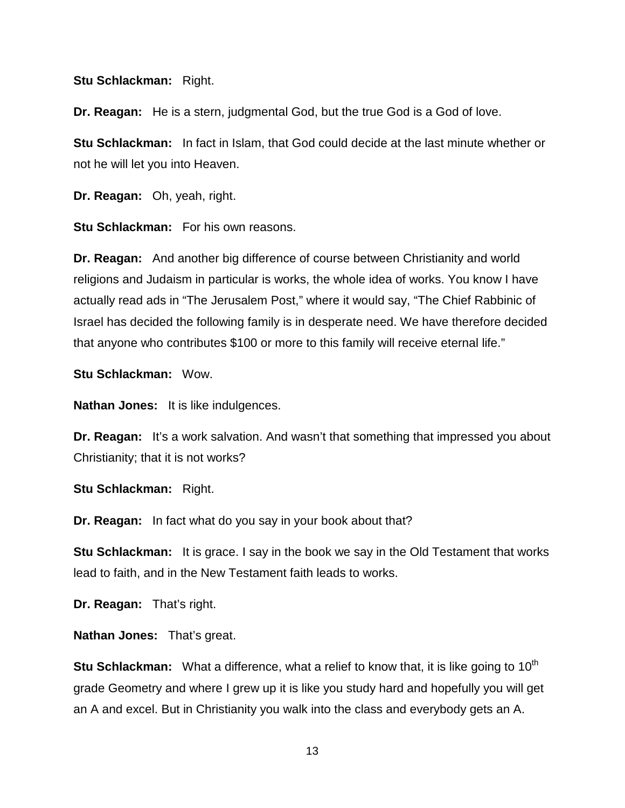#### **Stu Schlackman:** Right.

**Dr. Reagan:** He is a stern, judgmental God, but the true God is a God of love.

**Stu Schlackman:** In fact in Islam, that God could decide at the last minute whether or not he will let you into Heaven.

**Dr. Reagan:** Oh, yeah, right.

**Stu Schlackman:** For his own reasons.

**Dr. Reagan:** And another big difference of course between Christianity and world religions and Judaism in particular is works, the whole idea of works. You know I have actually read ads in "The Jerusalem Post," where it would say, "The Chief Rabbinic of Israel has decided the following family is in desperate need. We have therefore decided that anyone who contributes \$100 or more to this family will receive eternal life."

**Stu Schlackman:** Wow.

**Nathan Jones:** It is like indulgences.

**Dr. Reagan:** It's a work salvation. And wasn't that something that impressed you about Christianity; that it is not works?

**Stu Schlackman:** Right.

**Dr. Reagan:** In fact what do you say in your book about that?

**Stu Schlackman:** It is grace. I say in the book we say in the Old Testament that works lead to faith, and in the New Testament faith leads to works.

**Dr. Reagan:** That's right.

**Nathan Jones:** That's great.

**Stu Schlackman:** What a difference, what a relief to know that, it is like going to 10<sup>th</sup> grade Geometry and where I grew up it is like you study hard and hopefully you will get an A and excel. But in Christianity you walk into the class and everybody gets an A.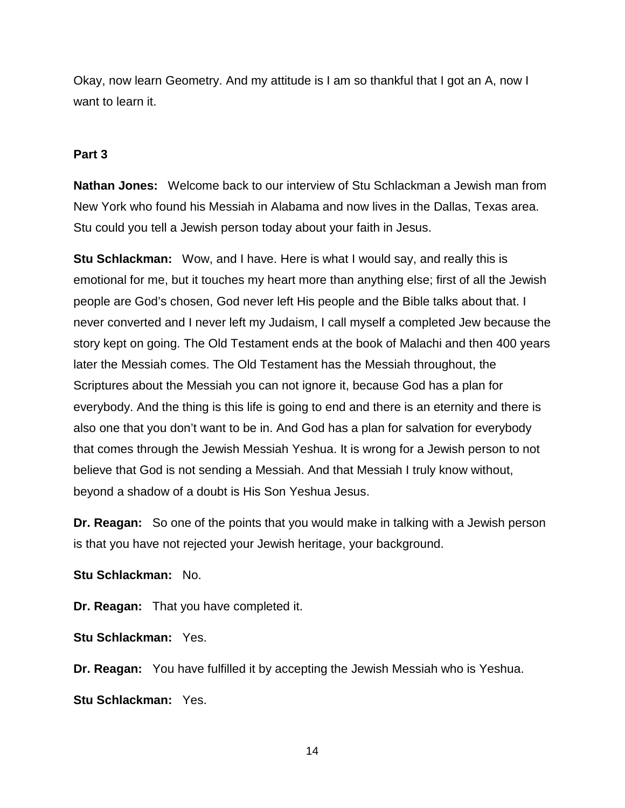Okay, now learn Geometry. And my attitude is I am so thankful that I got an A, now I want to learn it.

## **Part 3**

**Nathan Jones:** Welcome back to our interview of Stu Schlackman a Jewish man from New York who found his Messiah in Alabama and now lives in the Dallas, Texas area. Stu could you tell a Jewish person today about your faith in Jesus.

**Stu Schlackman:** Wow, and I have. Here is what I would say, and really this is emotional for me, but it touches my heart more than anything else; first of all the Jewish people are God's chosen, God never left His people and the Bible talks about that. I never converted and I never left my Judaism, I call myself a completed Jew because the story kept on going. The Old Testament ends at the book of Malachi and then 400 years later the Messiah comes. The Old Testament has the Messiah throughout, the Scriptures about the Messiah you can not ignore it, because God has a plan for everybody. And the thing is this life is going to end and there is an eternity and there is also one that you don't want to be in. And God has a plan for salvation for everybody that comes through the Jewish Messiah Yeshua. It is wrong for a Jewish person to not believe that God is not sending a Messiah. And that Messiah I truly know without, beyond a shadow of a doubt is His Son Yeshua Jesus.

**Dr. Reagan:** So one of the points that you would make in talking with a Jewish person is that you have not rejected your Jewish heritage, your background.

**Stu Schlackman:** No.

**Dr. Reagan:** That you have completed it.

**Stu Schlackman:** Yes.

**Dr. Reagan:** You have fulfilled it by accepting the Jewish Messiah who is Yeshua.

**Stu Schlackman:** Yes.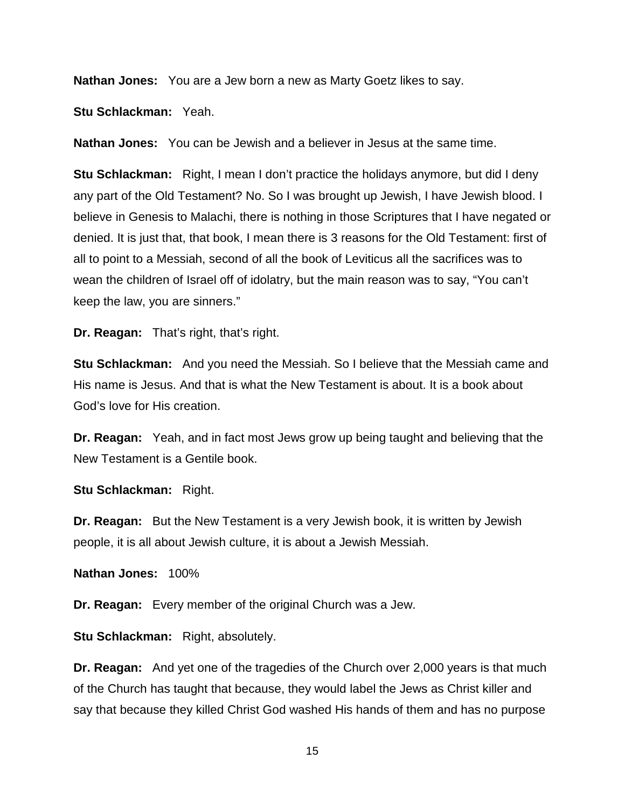**Nathan Jones:** You are a Jew born a new as Marty Goetz likes to say.

**Stu Schlackman:** Yeah.

**Nathan Jones:** You can be Jewish and a believer in Jesus at the same time.

**Stu Schlackman:** Right, I mean I don't practice the holidays anymore, but did I deny any part of the Old Testament? No. So I was brought up Jewish, I have Jewish blood. I believe in Genesis to Malachi, there is nothing in those Scriptures that I have negated or denied. It is just that, that book, I mean there is 3 reasons for the Old Testament: first of all to point to a Messiah, second of all the book of Leviticus all the sacrifices was to wean the children of Israel off of idolatry, but the main reason was to say, "You can't keep the law, you are sinners."

**Dr. Reagan:** That's right, that's right.

**Stu Schlackman:** And you need the Messiah. So I believe that the Messiah came and His name is Jesus. And that is what the New Testament is about. It is a book about God's love for His creation.

**Dr. Reagan:** Yeah, and in fact most Jews grow up being taught and believing that the New Testament is a Gentile book.

**Stu Schlackman:** Right.

**Dr. Reagan:** But the New Testament is a very Jewish book, it is written by Jewish people, it is all about Jewish culture, it is about a Jewish Messiah.

**Nathan Jones:** 100%

**Dr. Reagan:** Every member of the original Church was a Jew.

**Stu Schlackman:** Right, absolutely.

**Dr. Reagan:** And yet one of the tragedies of the Church over 2,000 years is that much of the Church has taught that because, they would label the Jews as Christ killer and say that because they killed Christ God washed His hands of them and has no purpose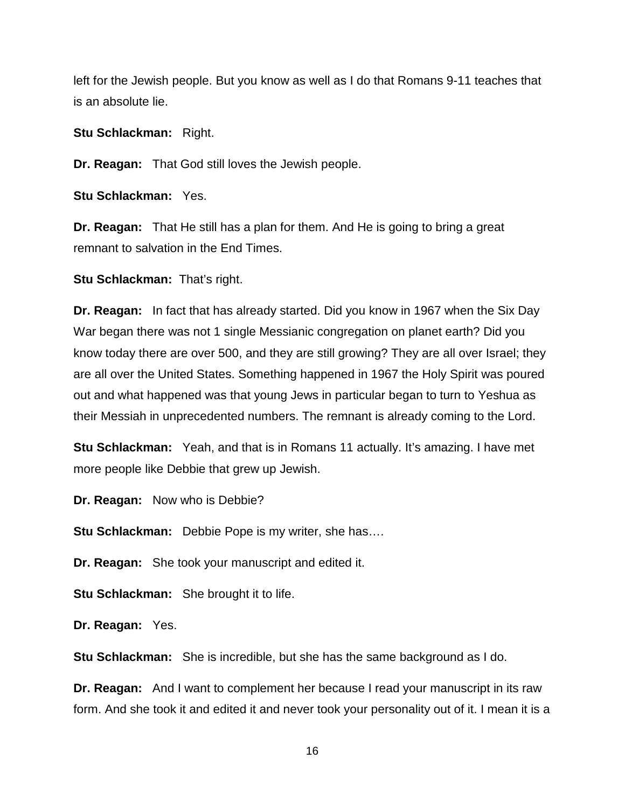left for the Jewish people. But you know as well as I do that Romans 9-11 teaches that is an absolute lie.

**Stu Schlackman:** Right.

**Dr. Reagan:** That God still loves the Jewish people.

**Stu Schlackman:** Yes.

**Dr. Reagan:** That He still has a plan for them. And He is going to bring a great remnant to salvation in the End Times.

**Stu Schlackman: That's right.** 

**Dr. Reagan:** In fact that has already started. Did you know in 1967 when the Six Day War began there was not 1 single Messianic congregation on planet earth? Did you know today there are over 500, and they are still growing? They are all over Israel; they are all over the United States. Something happened in 1967 the Holy Spirit was poured out and what happened was that young Jews in particular began to turn to Yeshua as their Messiah in unprecedented numbers. The remnant is already coming to the Lord.

**Stu Schlackman:** Yeah, and that is in Romans 11 actually. It's amazing. I have met more people like Debbie that grew up Jewish.

**Dr. Reagan:** Now who is Debbie?

**Stu Schlackman:** Debbie Pope is my writer, she has….

**Dr. Reagan:** She took your manuscript and edited it.

**Stu Schlackman:** She brought it to life.

**Dr. Reagan:** Yes.

**Stu Schlackman:** She is incredible, but she has the same background as I do.

**Dr. Reagan:** And I want to complement her because I read your manuscript in its raw form. And she took it and edited it and never took your personality out of it. I mean it is a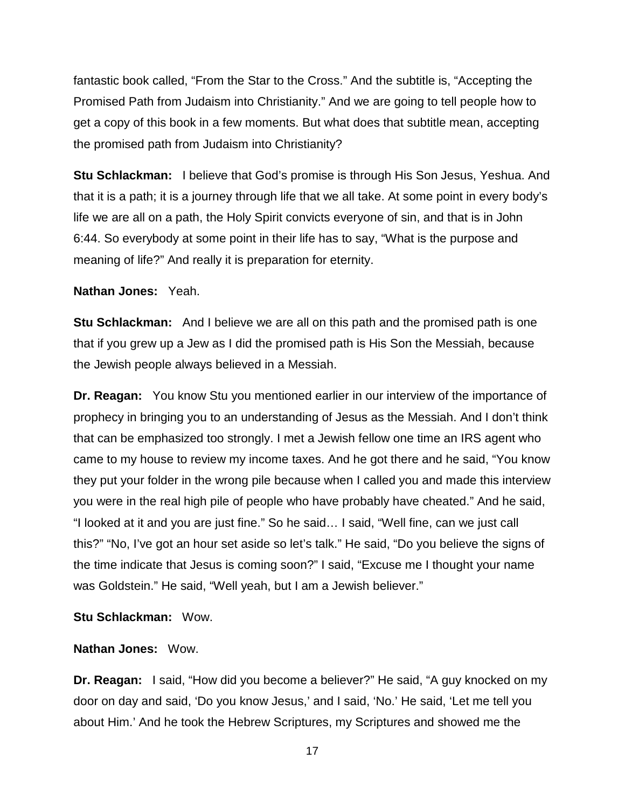fantastic book called, "From the Star to the Cross." And the subtitle is, "Accepting the Promised Path from Judaism into Christianity." And we are going to tell people how to get a copy of this book in a few moments. But what does that subtitle mean, accepting the promised path from Judaism into Christianity?

**Stu Schlackman:** I believe that God's promise is through His Son Jesus, Yeshua. And that it is a path; it is a journey through life that we all take. At some point in every body's life we are all on a path, the Holy Spirit convicts everyone of sin, and that is in John 6:44. So everybody at some point in their life has to say, "What is the purpose and meaning of life?" And really it is preparation for eternity.

**Nathan Jones:** Yeah.

**Stu Schlackman:** And I believe we are all on this path and the promised path is one that if you grew up a Jew as I did the promised path is His Son the Messiah, because the Jewish people always believed in a Messiah.

**Dr. Reagan:** You know Stu you mentioned earlier in our interview of the importance of prophecy in bringing you to an understanding of Jesus as the Messiah. And I don't think that can be emphasized too strongly. I met a Jewish fellow one time an IRS agent who came to my house to review my income taxes. And he got there and he said, "You know they put your folder in the wrong pile because when I called you and made this interview you were in the real high pile of people who have probably have cheated." And he said, "I looked at it and you are just fine." So he said… I said, "Well fine, can we just call this?" "No, I've got an hour set aside so let's talk." He said, "Do you believe the signs of the time indicate that Jesus is coming soon?" I said, "Excuse me I thought your name was Goldstein." He said, "Well yeah, but I am a Jewish believer."

**Stu Schlackman:** Wow.

## **Nathan Jones:** Wow.

**Dr. Reagan:** I said, "How did you become a believer?" He said, "A guy knocked on my door on day and said, 'Do you know Jesus,' and I said, 'No.' He said, 'Let me tell you about Him.' And he took the Hebrew Scriptures, my Scriptures and showed me the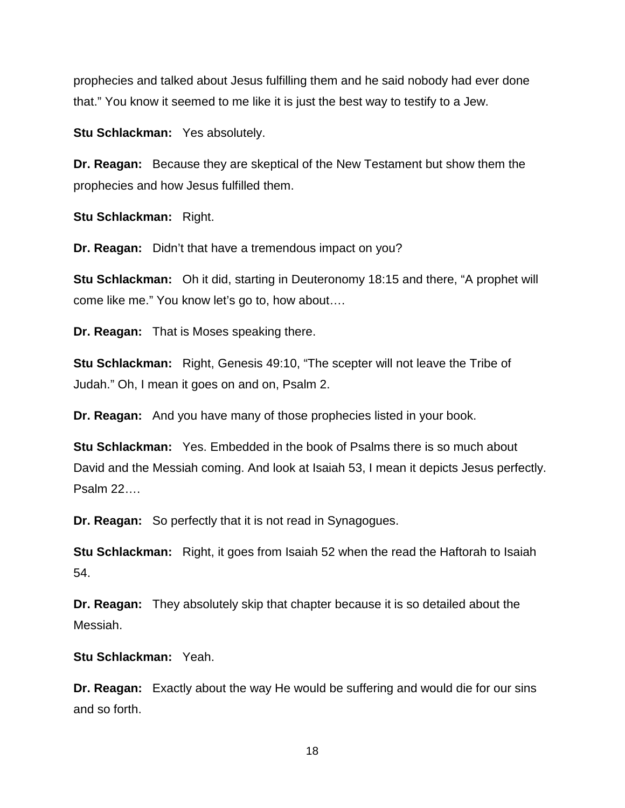prophecies and talked about Jesus fulfilling them and he said nobody had ever done that." You know it seemed to me like it is just the best way to testify to a Jew.

**Stu Schlackman:** Yes absolutely.

**Dr. Reagan:** Because they are skeptical of the New Testament but show them the prophecies and how Jesus fulfilled them.

**Stu Schlackman:** Right.

**Dr. Reagan:** Didn't that have a tremendous impact on you?

**Stu Schlackman:** Oh it did, starting in Deuteronomy 18:15 and there, "A prophet will come like me." You know let's go to, how about….

**Dr. Reagan:** That is Moses speaking there.

**Stu Schlackman:** Right, Genesis 49:10, "The scepter will not leave the Tribe of Judah." Oh, I mean it goes on and on, Psalm 2.

**Dr. Reagan:** And you have many of those prophecies listed in your book.

**Stu Schlackman:** Yes. Embedded in the book of Psalms there is so much about David and the Messiah coming. And look at Isaiah 53, I mean it depicts Jesus perfectly. Psalm 22….

**Dr. Reagan:** So perfectly that it is not read in Synagogues.

**Stu Schlackman:** Right, it goes from Isaiah 52 when the read the Haftorah to Isaiah 54.

**Dr. Reagan:** They absolutely skip that chapter because it is so detailed about the Messiah.

**Stu Schlackman:** Yeah.

**Dr. Reagan:** Exactly about the way He would be suffering and would die for our sins and so forth.